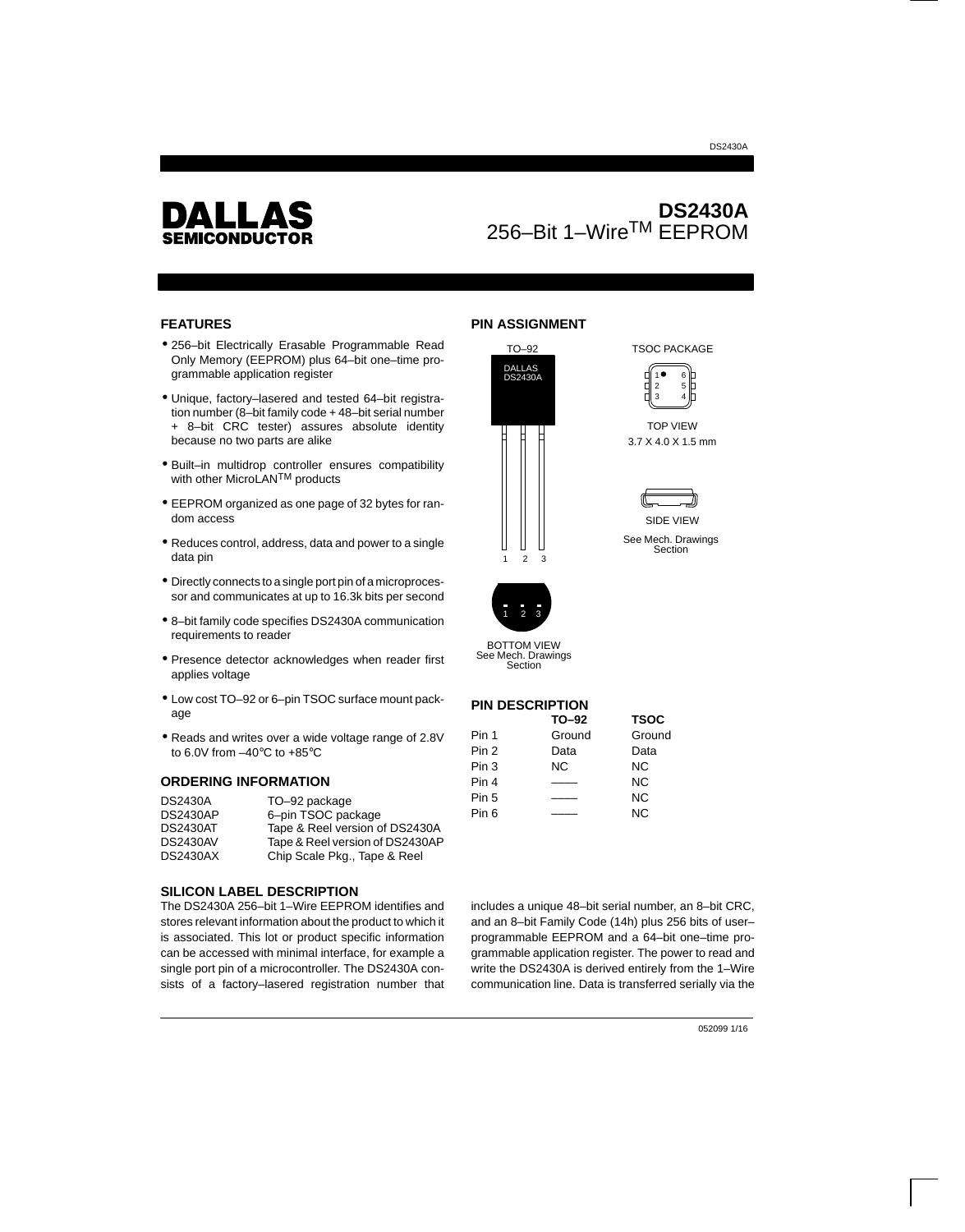

# **DS2430A** 256–Bit 1–WireTM EEPROM

#### **FEATURES**

- 256–bit Electrically Erasable Programmable Read Only Memory (EEPROM) plus 64–bit one–time programmable application register
- Unique, factory–lasered and tested 64–bit registration number (8–bit family code + 48–bit serial number + 8–bit CRC tester) assures absolute identity because no two parts are alike
- Built–in multidrop controller ensures compatibility with other MicroLAN<sup>TM</sup> products
- EEPROM organized as one page of 32 bytes for random access
- Reduces control, address, data and power to a single data pin
- Directly connects to a single port pin of a microprocessor and communicates at up to 16.3k bits per second
- 8–bit family code specifies DS2430A communication requirements to reader
- Presence detector acknowledges when reader first applies voltage
- Low cost TO–92 or 6–pin TSOC surface mount package
- Reads and writes over a wide voltage range of 2.8V to 6.0V from –40°C to +85°C

#### **ORDERING INFORMATION**

| <b>DS2430A</b>  | TO-92 package                   |
|-----------------|---------------------------------|
| <b>DS2430AP</b> | 6-pin TSOC package              |
| <b>DS2430AT</b> | Tape & Reel version of DS2430A  |
| <b>DS2430AV</b> | Tape & Reel version of DS2430AP |
| <b>DS2430AX</b> | Chip Scale Pkg., Tape & Reel    |

#### **SILICON LABEL DESCRIPTION**

The DS2430A 256–bit 1–Wire EEPROM identifies and stores relevant information about the product to which it is associated. This lot or product specific information can be accessed with minimal interface, for example a single port pin of a microcontroller. The DS2430A consists of a factory–lasered registration number that

### **PIN ASSIGNMENT**





TSOC PACKAGE

TOP VIEW 3.7 X 4.0 X 1.5 mm

DS2430A



See Mech. Drawings Section



See Mech. Drawings Section

### **PIN DESCRIPTION**

|                  | TO-92  | <b>TSOC</b> |  |  |
|------------------|--------|-------------|--|--|
| Pin 1            | Ground | Ground      |  |  |
| Pin <sub>2</sub> | Data   | Data        |  |  |
| Pin 3            | ΝC     | ΝC          |  |  |
| Pin 4            |        | ΝC          |  |  |
| Pin 5            |        | <b>NC</b>   |  |  |
| Pin 6            |        | ΝC          |  |  |
|                  |        |             |  |  |

includes a unique 48–bit serial number, an 8–bit CRC, and an 8–bit Family Code (14h) plus 256 bits of user– programmable EEPROM and a 64–bit one–time programmable application register. The power to read and write the DS2430A is derived entirely from the 1–Wire communication line. Data is transferred serially via the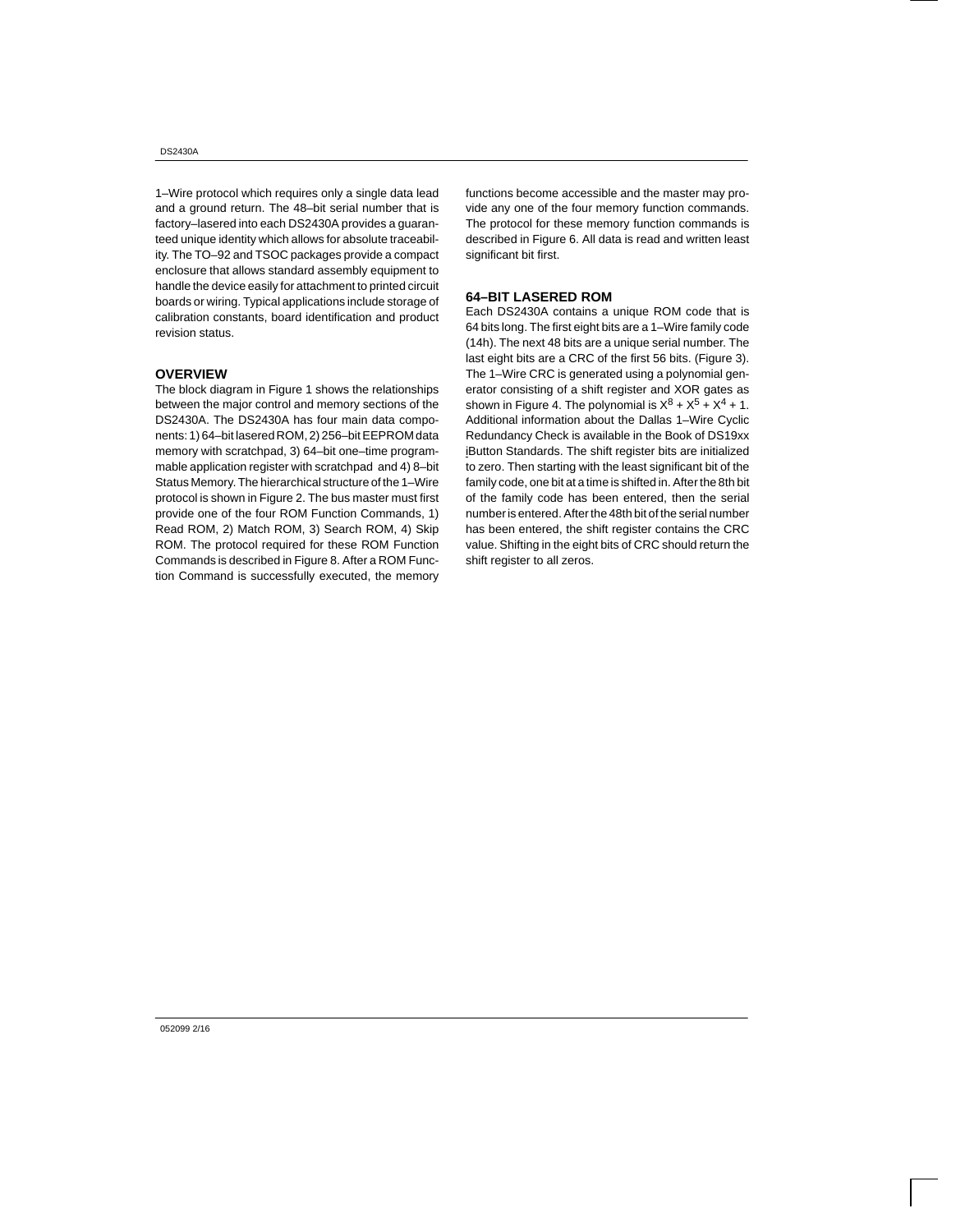1–Wire protocol which requires only a single data lead and a ground return. The 48–bit serial number that is factory–lasered into each DS2430A provides a guaranteed unique identity which allows for absolute traceability. The TO–92 and TSOC packages provide a compact enclosure that allows standard assembly equipment to handle the device easily for attachment to printed circuit boards or wiring. Typical applications include storage of calibration constants, board identification and product revision status.

#### **OVERVIEW**

The block diagram in Figure 1 shows the relationships between the major control and memory sections of the DS2430A. The DS2430A has four main data components: 1) 64–bit lasered ROM, 2) 256–bit EEPROM data memory with scratchpad, 3) 64–bit one–time programmable application register with scratchpad and 4) 8–bit Status Memory. The hierarchical structure of the 1–Wire protocol is shown in Figure 2. The bus master must first provide one of the four ROM Function Commands, 1) Read ROM, 2) Match ROM, 3) Search ROM, 4) Skip ROM. The protocol required for these ROM Function Commands is described in Figure 8. After a ROM Function Command is successfully executed, the memory functions become accessible and the master may provide any one of the four memory function commands. The protocol for these memory function commands is described in Figure 6. All data is read and written least significant bit first.

#### **64–BIT LASERED ROM**

Each DS2430A contains a unique ROM code that is 64 bits long. The first eight bits are a 1–Wire family code (14h). The next 48 bits are a unique serial number. The last eight bits are a CRC of the first 56 bits. (Figure 3). The 1–Wire CRC is generated using a polynomial generator consisting of a shift register and XOR gates as shown in Figure 4. The polynomial is  $X^8 + X^5 + X^4 + 1$ . Additional information about the Dallas 1–Wire Cyclic Redundancy Check is available in the Book of DS19xx iButton Standards. The shift register bits are initialized to zero. Then starting with the least significant bit of the family code, one bit at a time is shifted in. After the 8th bit of the family code has been entered, then the serial number is entered. After the 48th bit of the serial number has been entered, the shift register contains the CRC value. Shifting in the eight bits of CRC should return the shift register to all zeros.

052099 2/16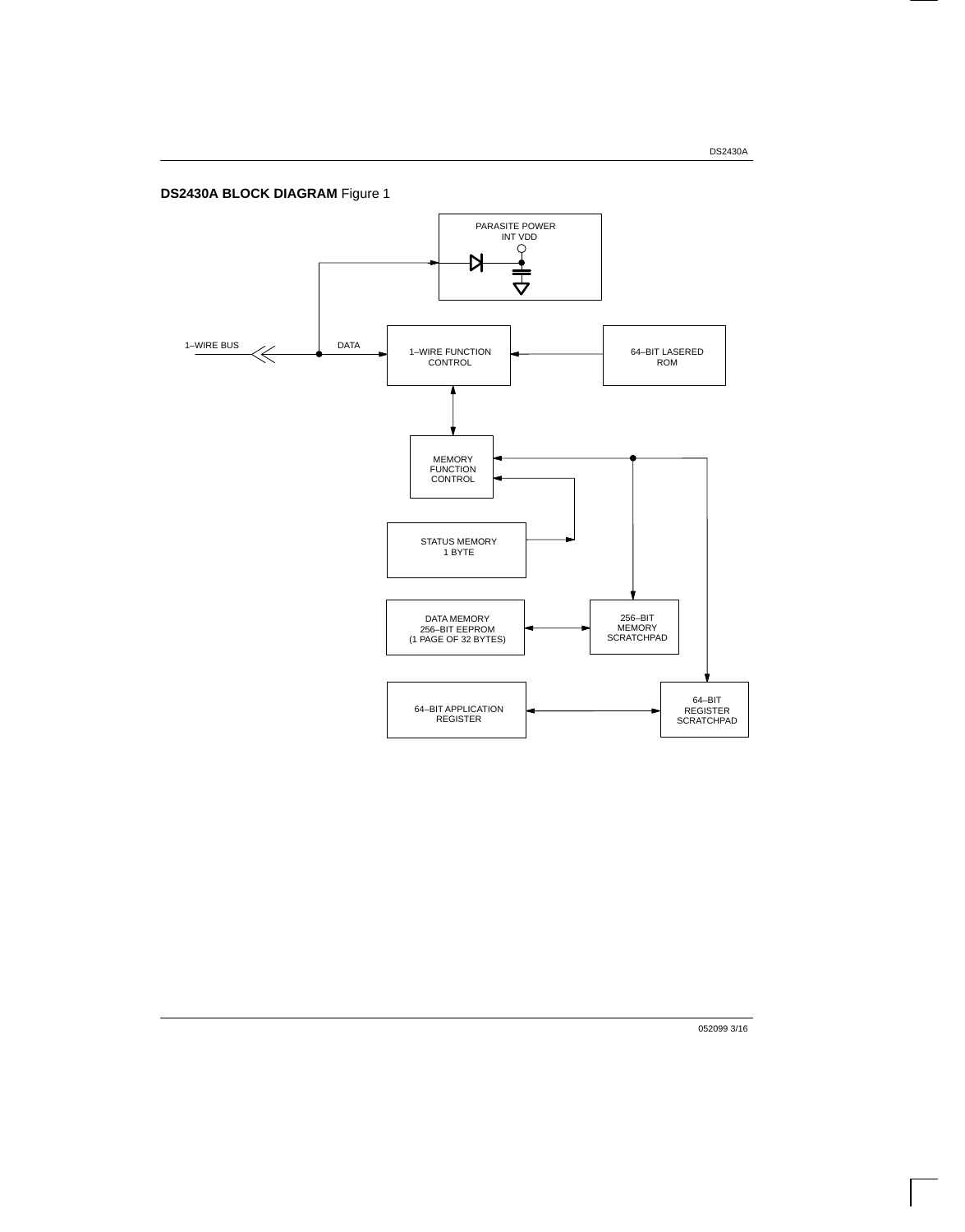**DS2430A BLOCK DIAGRAM** Figure 1



052099 3/16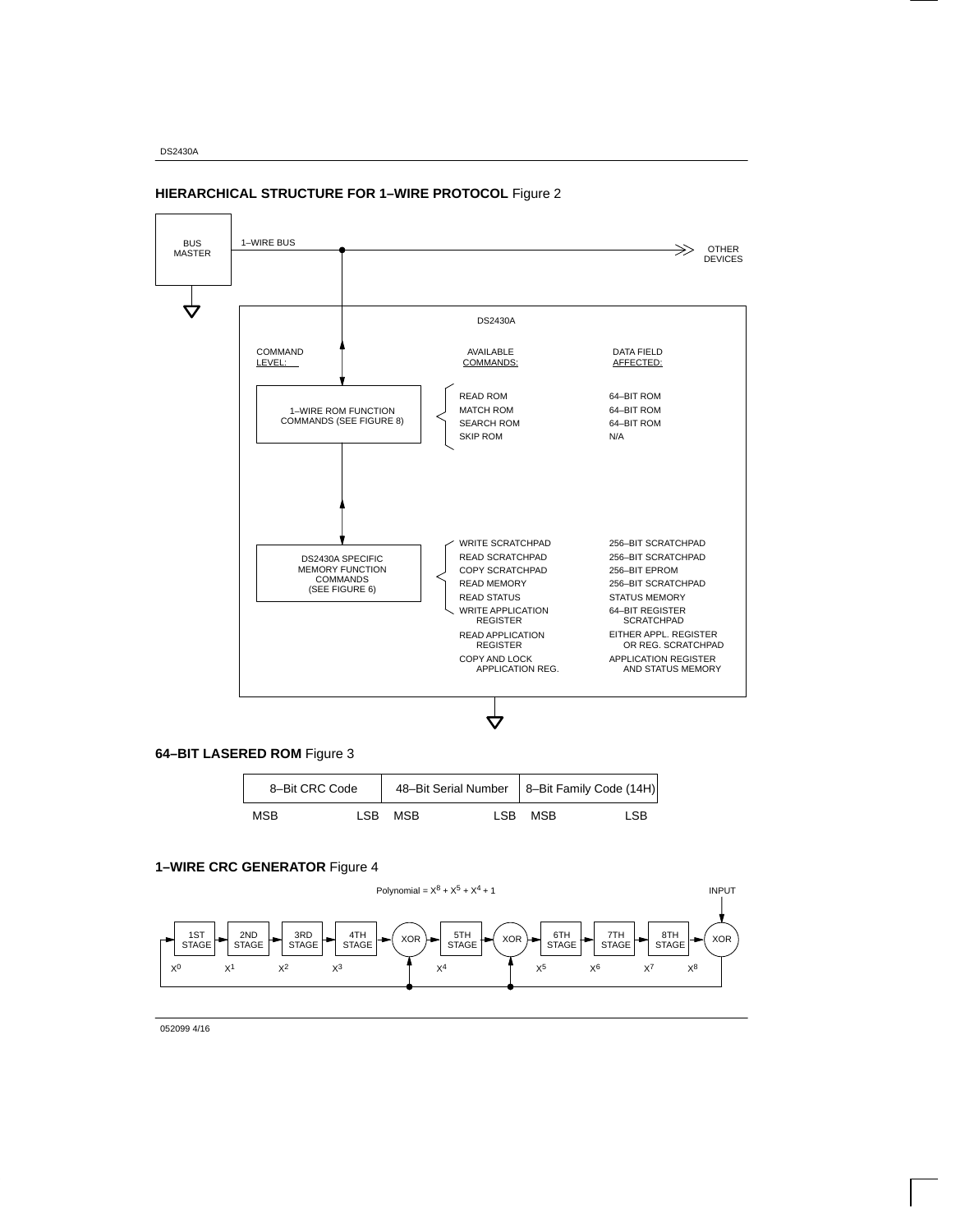

### **HIERARCHICAL STRUCTURE FOR 1–WIRE PROTOCOL** Figure 2



| 8-Bit CRC Code |      |            |         | 48-Bit Serial Number   8-Bit Family Code (14H) |
|----------------|------|------------|---------|------------------------------------------------|
| <b>MSB</b>     | LSB. | <b>MSB</b> | ISB MSB | LSB.                                           |

#### **1–WIRE CRC GENERATOR** Figure 4



052099 4/16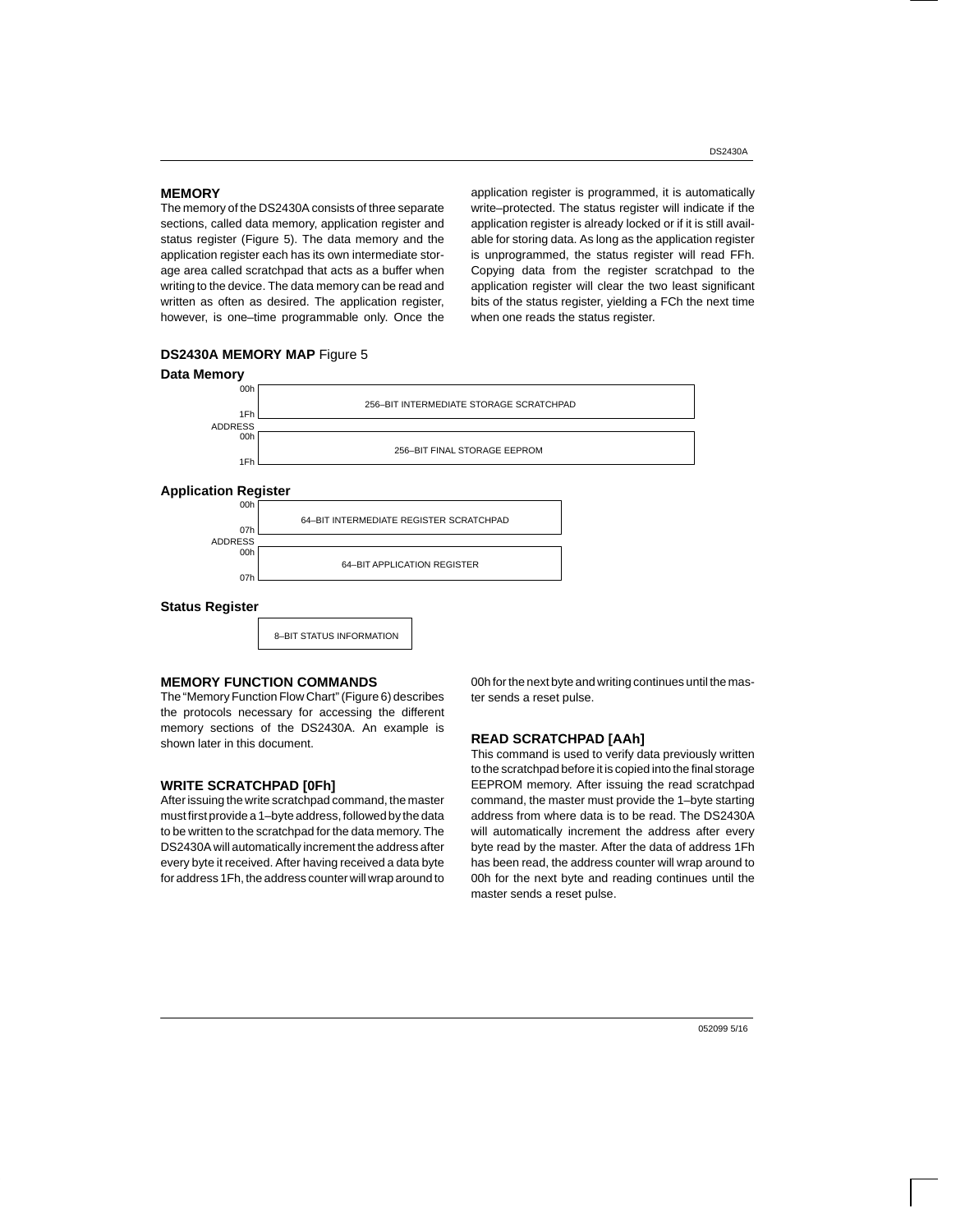#### **MEMORY**

The memory of the DS2430A consists of three separate sections, called data memory, application register and status register (Figure 5). The data memory and the application register each has its own intermediate storage area called scratchpad that acts as a buffer when writing to the device. The data memory can be read and written as often as desired. The application register, however, is one–time programmable only. Once the application register is programmed, it is automatically write–protected. The status register will indicate if the application register is already locked or if it is still available for storing data. As long as the application register is unprogrammed, the status register will read FFh. Copying data from the register scratchpad to the application register will clear the two least significant bits of the status register, yielding a FCh the next time when one reads the status register.



#### **DS2430A MEMORY MAP** Figure 5

#### **MEMORY FUNCTION COMMANDS**

The "Memory Function Flow Chart" (Figure 6) describes the protocols necessary for accessing the different memory sections of the DS2430A. An example is shown later in this document.

#### **WRITE SCRATCHPAD [0Fh]**

After issuing the write scratchpad command, the master must first provide a 1–byte address, followed by the data to be written to the scratchpad for the data memory. The DS2430A will automatically increment the address after every byte it received. After having received a data byte for address 1Fh, the address counter will wrap around to 00h for the next byte and writing continues until the master sends a reset pulse.

#### **READ SCRATCHPAD [AAh]**

This command is used to verify data previously written to the scratchpad before it is copied into the final storage EEPROM memory. After issuing the read scratchpad command, the master must provide the 1–byte starting address from where data is to be read. The DS2430A will automatically increment the address after every byte read by the master. After the data of address 1Fh has been read, the address counter will wrap around to 00h for the next byte and reading continues until the master sends a reset pulse.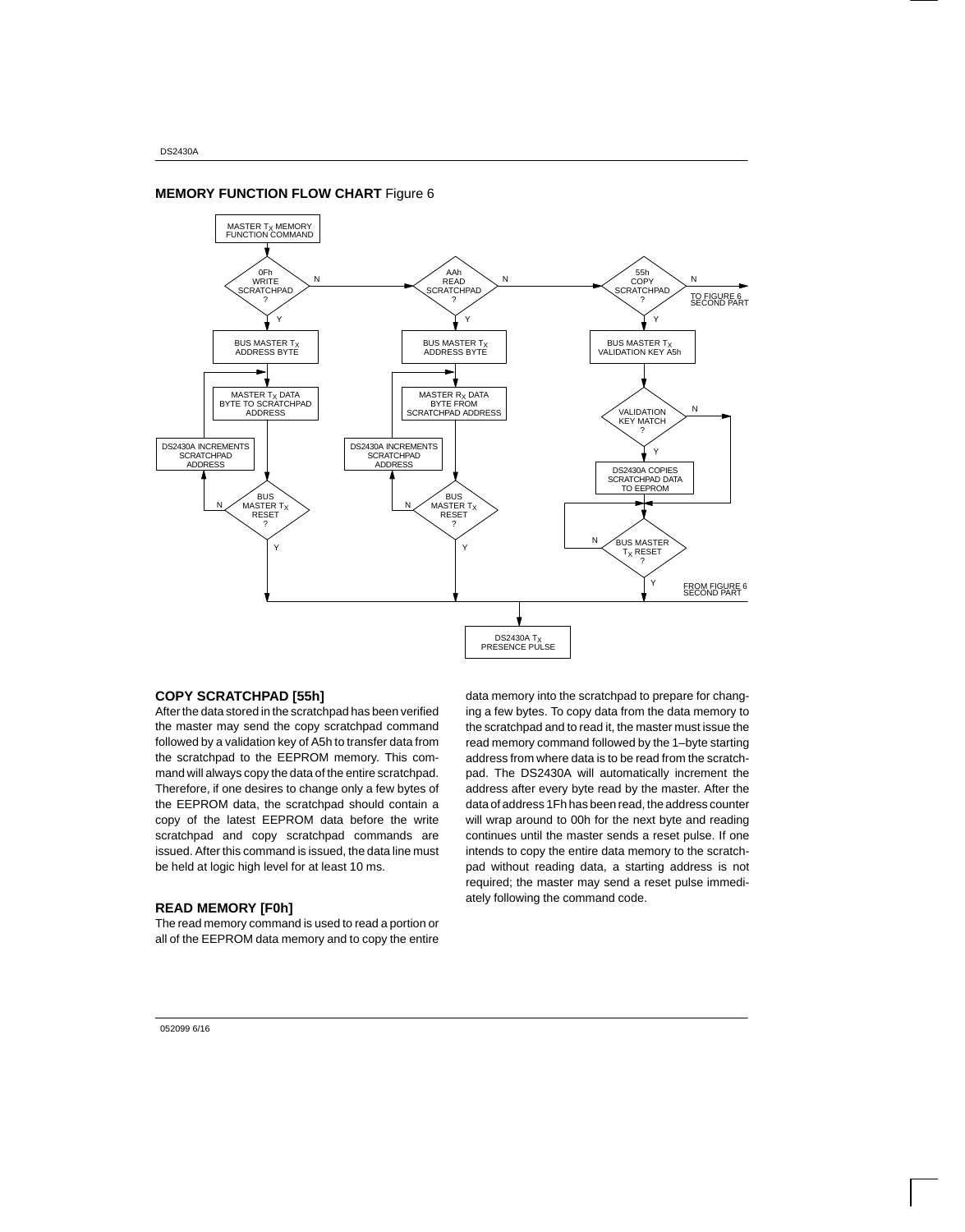### **MEMORY FUNCTION FLOW CHART** Figure 6



#### **COPY SCRATCHPAD [55h]**

After the data stored in the scratchpad has been verified the master may send the copy scratchpad command followed by a validation key of A5h to transfer data from the scratchpad to the EEPROM memory. This command will always copy the data of the entire scratchpad. Therefore, if one desires to change only a few bytes of the EEPROM data, the scratchpad should contain a copy of the latest EEPROM data before the write scratchpad and copy scratchpad commands are issued. After this command is issued, the data line must be held at logic high level for at least 10 ms.

#### **READ MEMORY [F0h]**

The read memory command is used to read a portion or all of the EEPROM data memory and to copy the entire

data memory into the scratchpad to prepare for changing a few bytes. To copy data from the data memory to the scratchpad and to read it, the master must issue the read memory command followed by the 1–byte starting address from where data is to be read from the scratchpad. The DS2430A will automatically increment the address after every byte read by the master. After the data of address 1Fh has been read, the address counter will wrap around to 00h for the next byte and reading continues until the master sends a reset pulse. If one intends to copy the entire data memory to the scratchpad without reading data, a starting address is not required; the master may send a reset pulse immediately following the command code.

#### 052099 6/16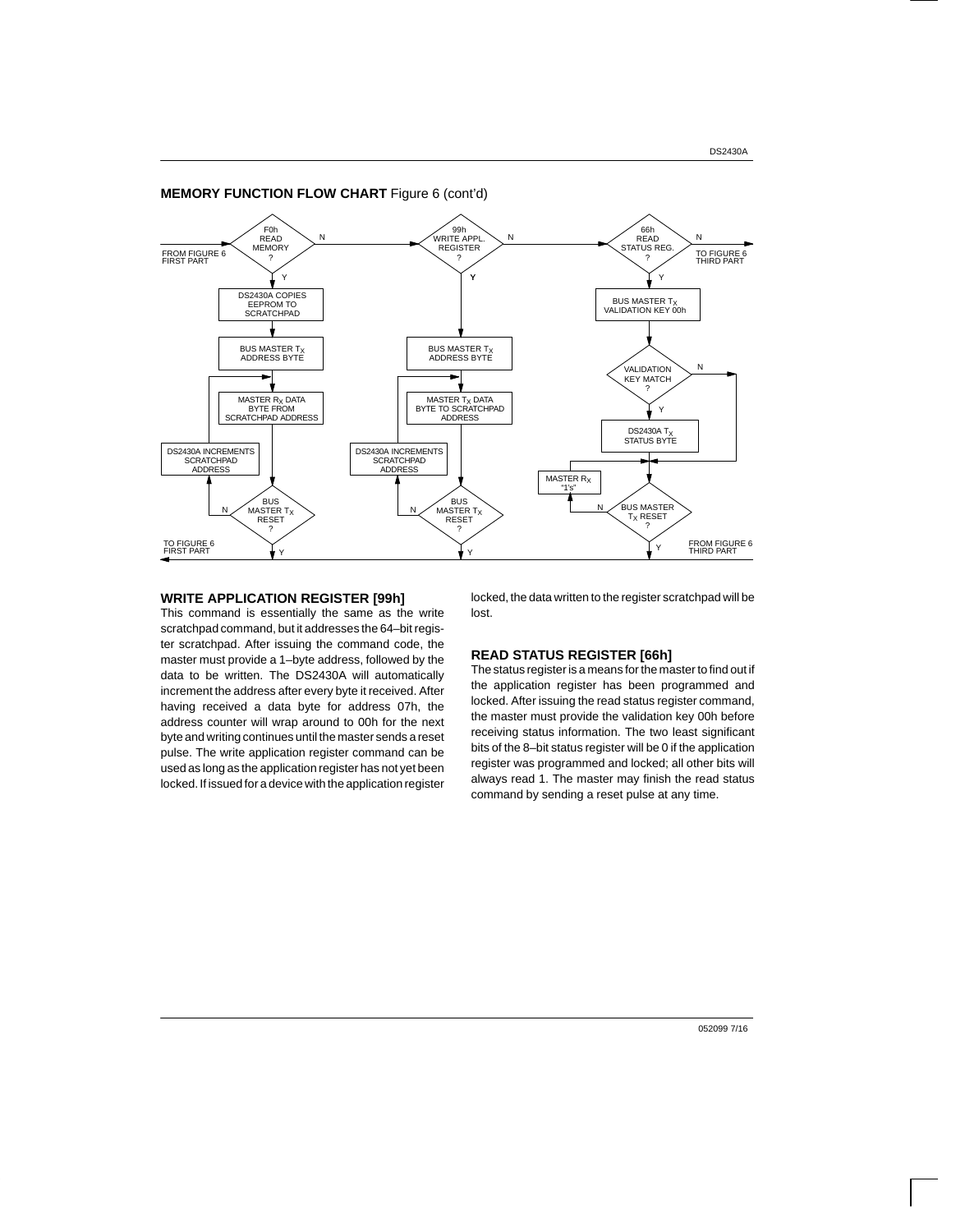### **MEMORY FUNCTION FLOW CHART** Figure 6 (cont'd)



#### **WRITE APPLICATION REGISTER [99h]**

This command is essentially the same as the write scratchpad command, but it addresses the 64–bit register scratchpad. After issuing the command code, the master must provide a 1–byte address, followed by the data to be written. The DS2430A will automatically increment the address after every byte it received. After having received a data byte for address 07h, the address counter will wrap around to 00h for the next byte and writing continues until the master sends a reset pulse. The write application register command can be used as long as the application register has not yet been locked. If issued for a device with the application register locked, the data written to the register scratchpad will be lost.

#### **READ STATUS REGISTER [66h]**

The status register is a means for the master to find out if the application register has been programmed and locked. After issuing the read status register command, the master must provide the validation key 00h before receiving status information. The two least significant bits of the 8–bit status register will be 0 if the application register was programmed and locked; all other bits will always read 1. The master may finish the read status command by sending a reset pulse at any time.

052099 7/16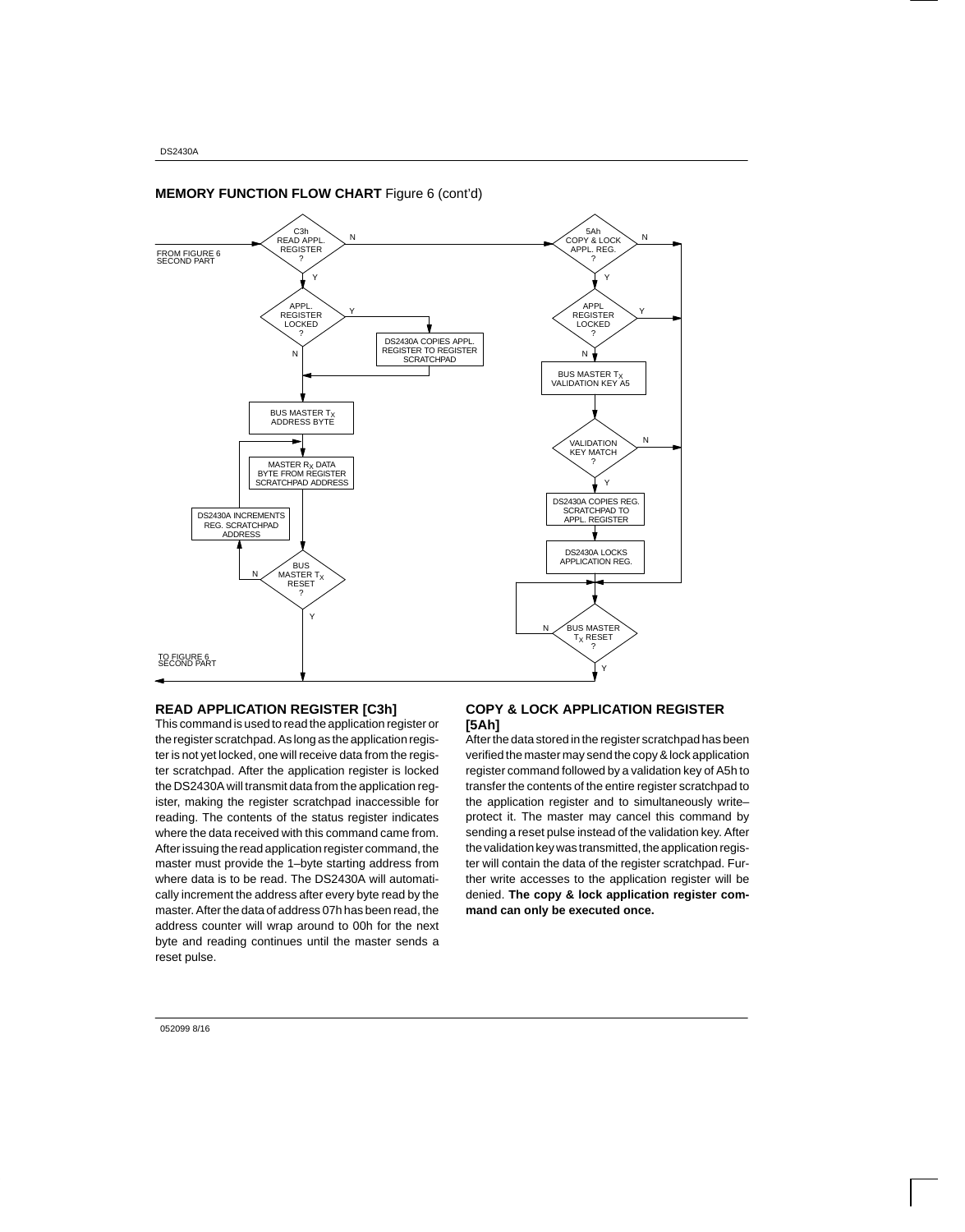

### **MEMORY FUNCTION FLOW CHART** Figure 6 (cont'd)

#### **READ APPLICATION REGISTER [C3h]**

This command is used to read the application register or the register scratchpad. As long as the application register is not yet locked, one will receive data from the register scratchpad. After the application register is locked the DS2430A will transmit data from the application register, making the register scratchpad inaccessible for reading. The contents of the status register indicates where the data received with this command came from. After issuing the read application register command, the master must provide the 1–byte starting address from where data is to be read. The DS2430A will automatically increment the address after every byte read by the master. After the data of address 07h has been read, the address counter will wrap around to 00h for the next byte and reading continues until the master sends a reset pulse.

#### **COPY & LOCK APPLICATION REGISTER [5Ah]**

After the data stored in the register scratchpad has been verified the master may send the copy & lock application register command followed by a validation key of A5h to transfer the contents of the entire register scratchpad to the application register and to simultaneously write– protect it. The master may cancel this command by sending a reset pulse instead of the validation key. After the validation key was transmitted, the application register will contain the data of the register scratchpad. Further write accesses to the application register will be denied. **The copy & lock application register command can only be executed once.**

052099 8/16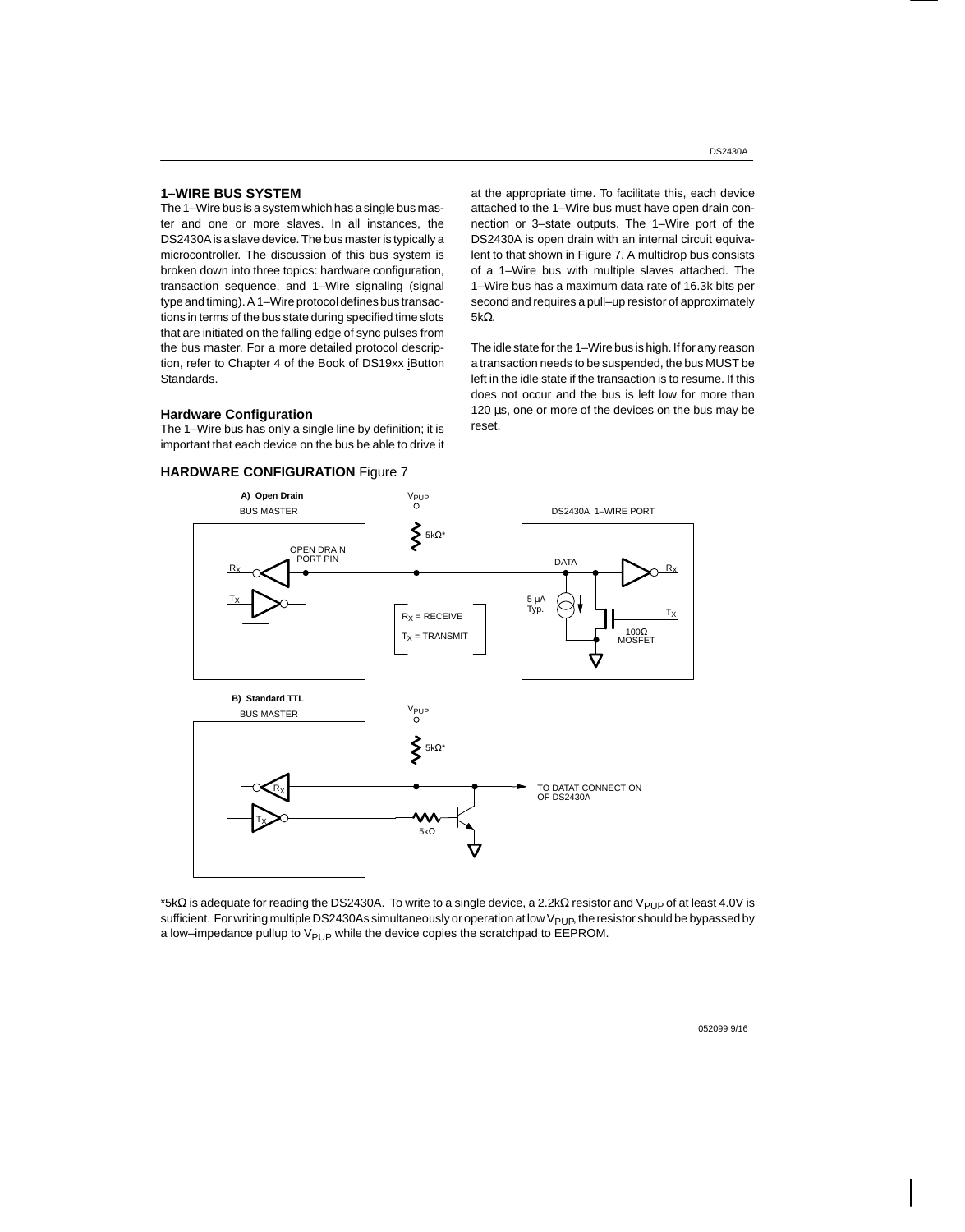#### DS2430A

#### **1–WIRE BUS SYSTEM**

The 1–Wire bus is a system which has a single bus master and one or more slaves. In all instances, the DS2430A is a slave device. The bus master is typically a microcontroller. The discussion of this bus system is broken down into three topics: hardware configuration, transaction sequence, and 1–Wire signaling (signal type and timing). A 1–Wire protocol defines bus transactions in terms of the bus state during specified time slots that are initiated on the falling edge of sync pulses from the bus master. For a more detailed protocol description, refer to Chapter 4 of the Book of DS19xx iButton Standards.

#### **Hardware Configuration**

The 1–Wire bus has only a single line by definition; it is important that each device on the bus be able to drive it



at the appropriate time. To facilitate this, each device attached to the 1–Wire bus must have open drain connection or 3–state outputs. The 1–Wire port of the DS2430A is open drain with an internal circuit equivalent to that shown in Figure 7. A multidrop bus consists of a 1–Wire bus with multiple slaves attached. The 1–Wire bus has a maximum data rate of 16.3k bits per second and requires a pull–up resistor of approximately 5kΩ.

The idle state for the 1–Wire bus is high. If for any reason a transaction needs to be suspended, the bus MUST be left in the idle state if the transaction is to resume. If this does not occur and the bus is left low for more than 120 µs, one or more of the devices on the bus may be reset.



 $*5kΩ$  is adequate for reading the DS2430A. To write to a single device, a 2.2kΩ resistor and V<sub>PUP</sub> of at least 4.0V is sufficient. For writing multiple DS2430As simultaneously or operation at low V<sub>PUP</sub>, the resistor should be bypassed by a low–impedance pullup to  $V_{\text{PUP}}$  while the device copies the scratchpad to EEPROM.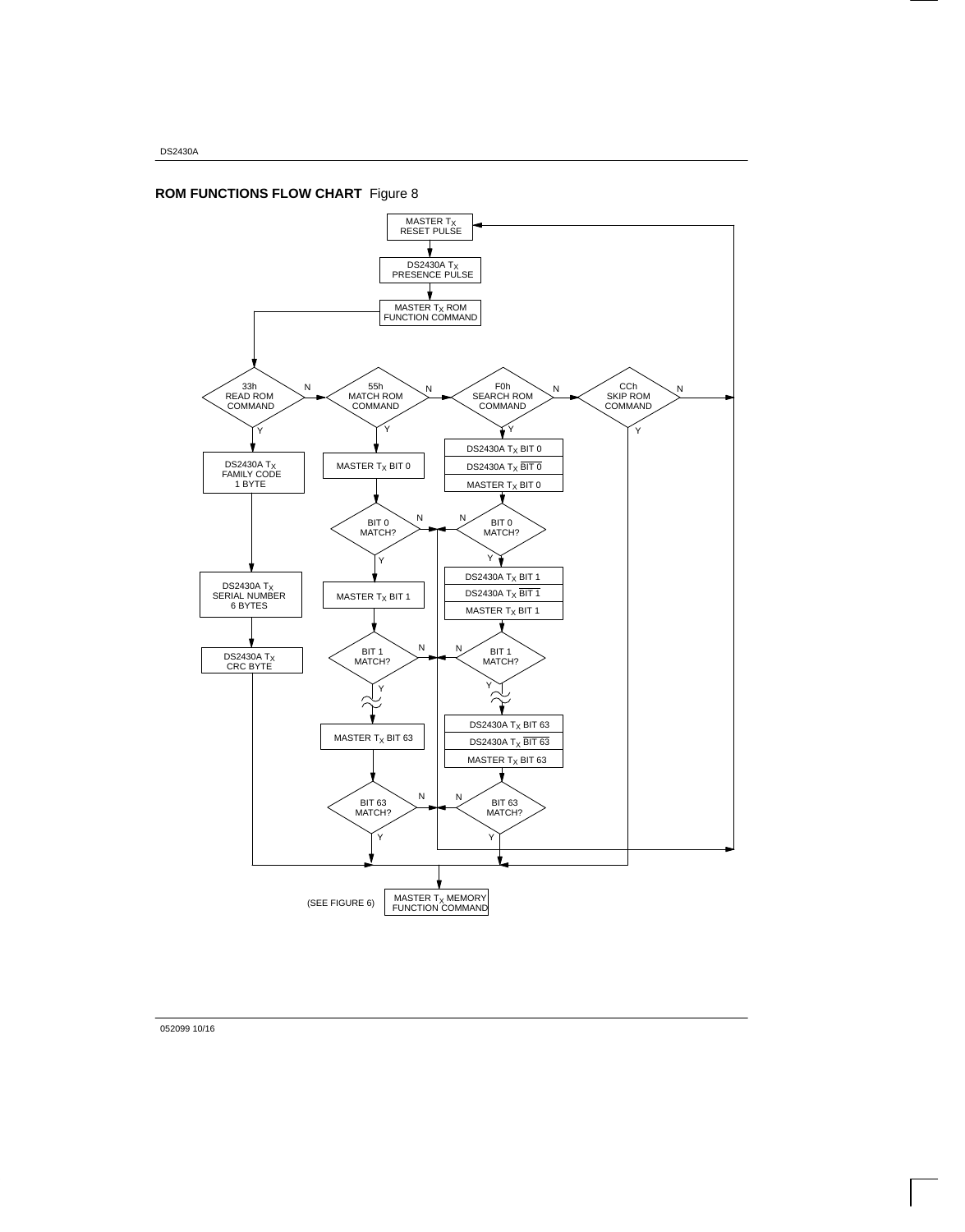

# **ROM FUNCTIONS FLOW CHART** Figure 8

052099 10/16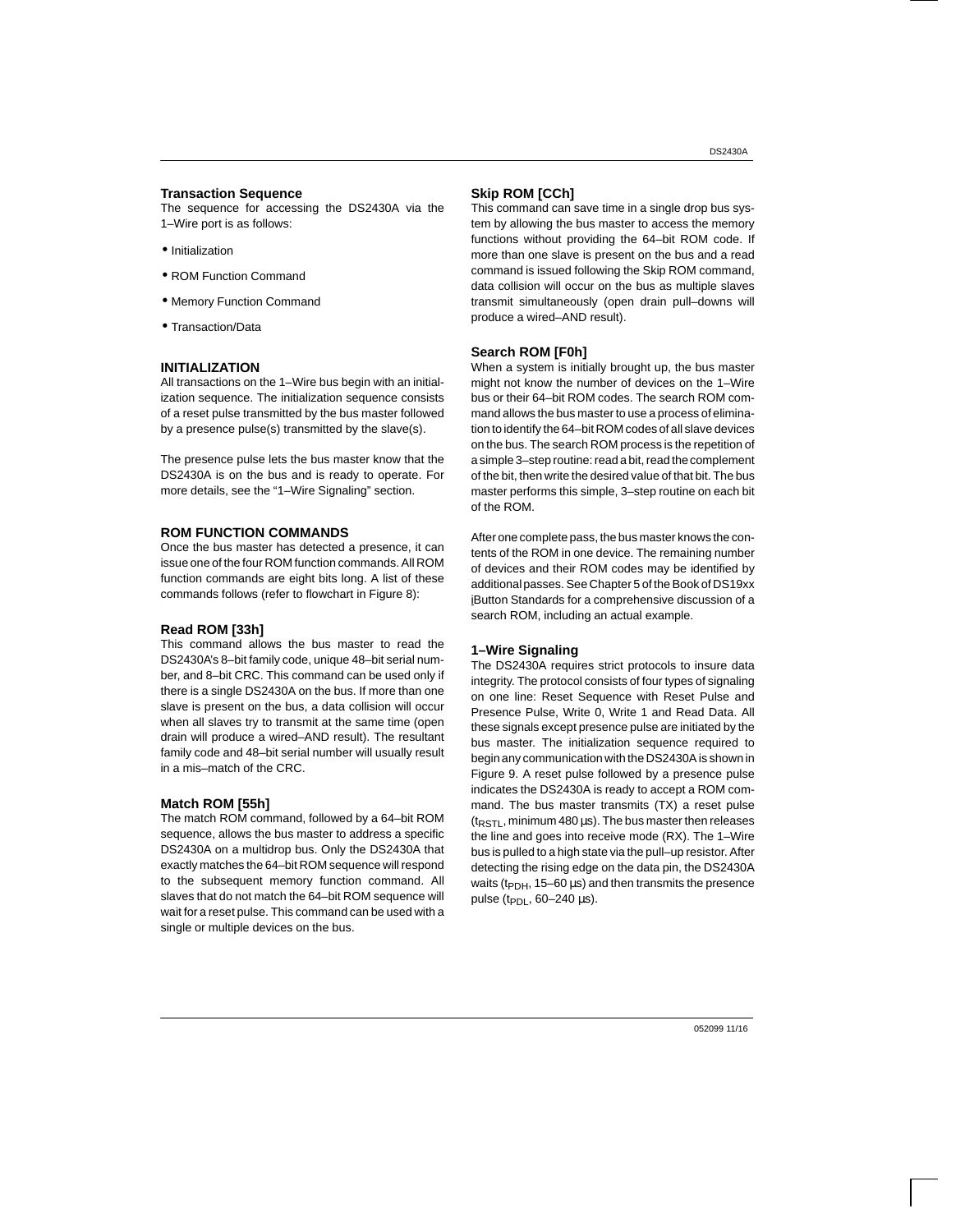#### **Transaction Sequence**

The sequence for accessing the DS2430A via the 1–Wire port is as follows:

- Initialization
- ROM Function Command
- Memory Function Command
- Transaction/Data

#### **INITIALIZATION**

All transactions on the 1–Wire bus begin with an initialization sequence. The initialization sequence consists of a reset pulse transmitted by the bus master followed by a presence pulse(s) transmitted by the slave(s).

The presence pulse lets the bus master know that the DS2430A is on the bus and is ready to operate. For more details, see the "1–Wire Signaling" section.

#### **ROM FUNCTION COMMANDS**

Once the bus master has detected a presence, it can issue one of the four ROM function commands. All ROM function commands are eight bits long. A list of these commands follows (refer to flowchart in Figure 8):

#### **Read ROM [33h]**

This command allows the bus master to read the DS2430A's 8–bit family code, unique 48–bit serial number, and 8–bit CRC. This command can be used only if there is a single DS2430A on the bus. If more than one slave is present on the bus, a data collision will occur when all slaves try to transmit at the same time (open drain will produce a wired–AND result). The resultant family code and 48–bit serial number will usually result in a mis–match of the CRC.

#### **Match ROM [55h]**

The match ROM command, followed by a 64–bit ROM sequence, allows the bus master to address a specific DS2430A on a multidrop bus. Only the DS2430A that exactly matches the 64–bit ROM sequence will respond to the subsequent memory function command. All slaves that do not match the 64–bit ROM sequence will wait for a reset pulse. This command can be used with a single or multiple devices on the bus.

#### **Skip ROM [CCh]**

This command can save time in a single drop bus system by allowing the bus master to access the memory functions without providing the 64–bit ROM code. If more than one slave is present on the bus and a read command is issued following the Skip ROM command, data collision will occur on the bus as multiple slaves transmit simultaneously (open drain pull–downs will produce a wired–AND result).

#### **Search ROM [F0h]**

When a system is initially brought up, the bus master might not know the number of devices on the 1–Wire bus or their 64–bit ROM codes. The search ROM command allows the bus master to use a process of elimination to identify the 64–bit ROM codes of all slave devices on the bus. The search ROM process is the repetition of a simple 3–step routine: read a bit, read the complement of the bit, then write the desired value of that bit. The bus master performs this simple, 3–step routine on each bit of the ROM.

After one complete pass, the bus master knows the contents of the ROM in one device. The remaining number of devices and their ROM codes may be identified by additional passes. See Chapter 5 of the Book of DS19xx iButton Standards for a comprehensive discussion of a search ROM, including an actual example.

#### **1–Wire Signaling**

The DS2430A requires strict protocols to insure data integrity. The protocol consists of four types of signaling on one line: Reset Sequence with Reset Pulse and Presence Pulse, Write 0, Write 1 and Read Data. All these signals except presence pulse are initiated by the bus master. The initialization sequence required to begin any communication with the DS2430A is shown in Figure 9. A reset pulse followed by a presence pulse indicates the DS2430A is ready to accept a ROM command. The bus master transmits (TX) a reset pulse  $(t_{RSTL}, m$ inimum 480 µs). The bus master then releases the line and goes into receive mode (RX). The 1–Wire bus is pulled to a high state via the pull–up resistor. After detecting the rising edge on the data pin, the DS2430A waits ( $t_{\text{PDH}}$ , 15–60  $\mu$ s) and then transmits the presence pulse ( $t_{PDI}$ , 60–240  $\mu$ s).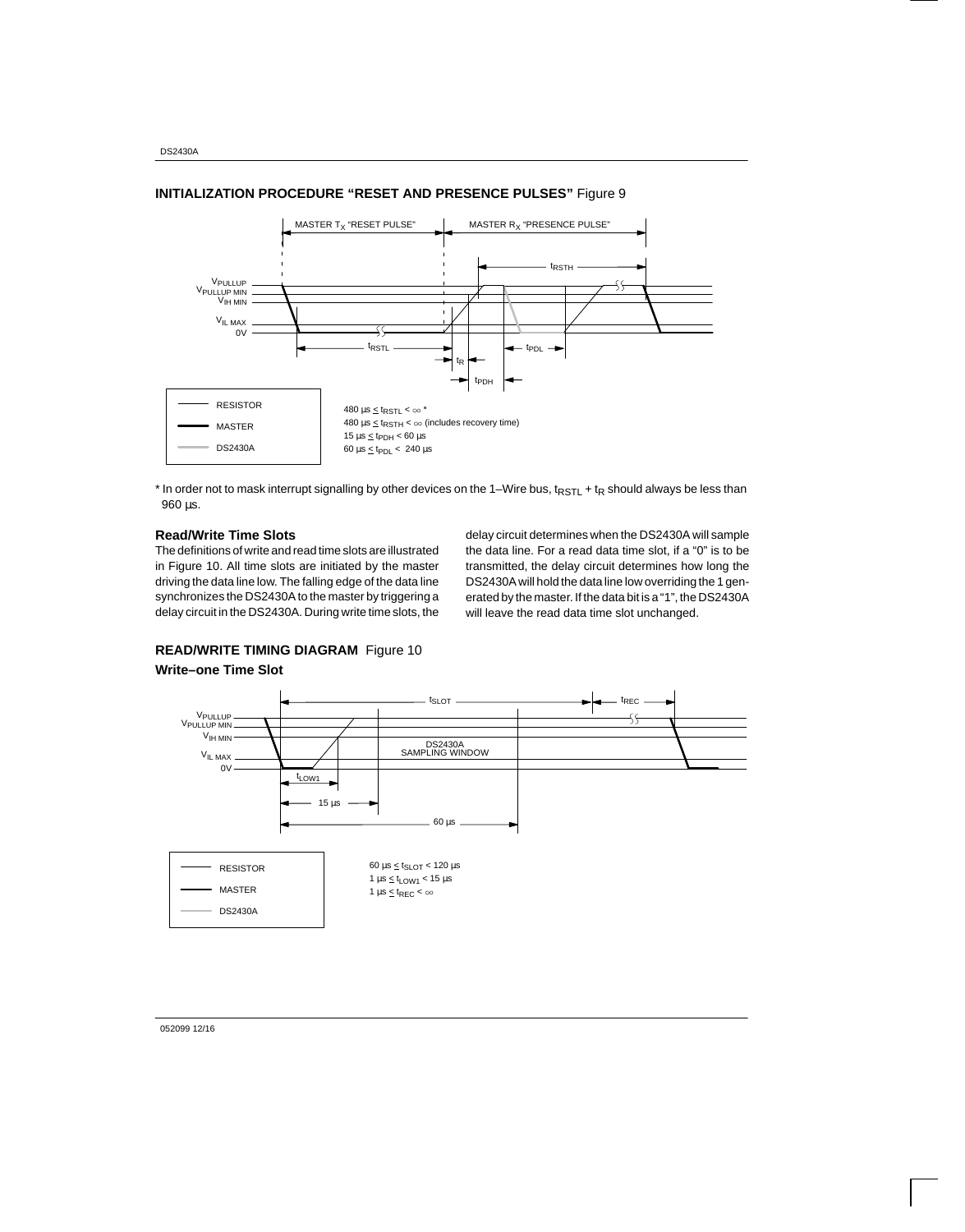

#### **INITIALIZATION PROCEDURE "RESET AND PRESENCE PULSES"** Figure 9

\* In order not to mask interrupt signalling by other devices on the 1-Wire bus, t<sub>RSTL</sub> + t<sub>R</sub> should always be less than 960 µs.

### **Read/Write Time Slots**

The definitions of write and read time slots are illustrated in Figure 10. All time slots are initiated by the master driving the data line low. The falling edge of the data line synchronizes the DS2430A to the master by triggering a delay circuit in the DS2430A. During write time slots, the

delay circuit determines when the DS2430A will sample the data line. For a read data time slot, if a "0" is to be transmitted, the delay circuit determines how long the DS2430A will hold the data line low overriding the 1 generated by the master. If the data bit is a "1", the DS2430A will leave the read data time slot unchanged.

# **READ/WRITE TIMING DIAGRAM** Figure 10

#### **Write–one Time Slot**



052099 12/16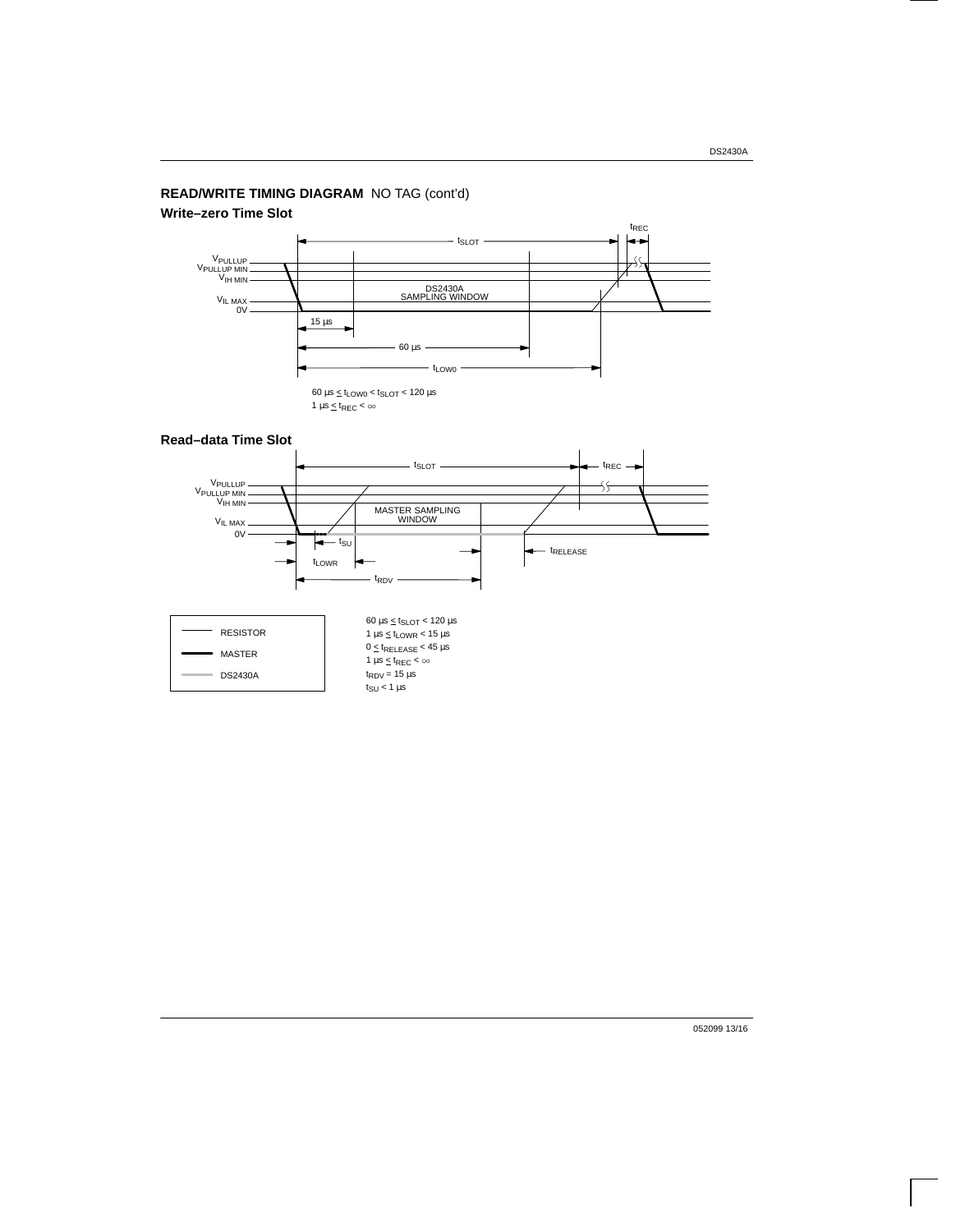## **READ/WRITE TIMING DIAGRAM** NO TAG (cont'd)

### **Write–zero Time Slot**



### **Read–data Time Slot**





052099 13/16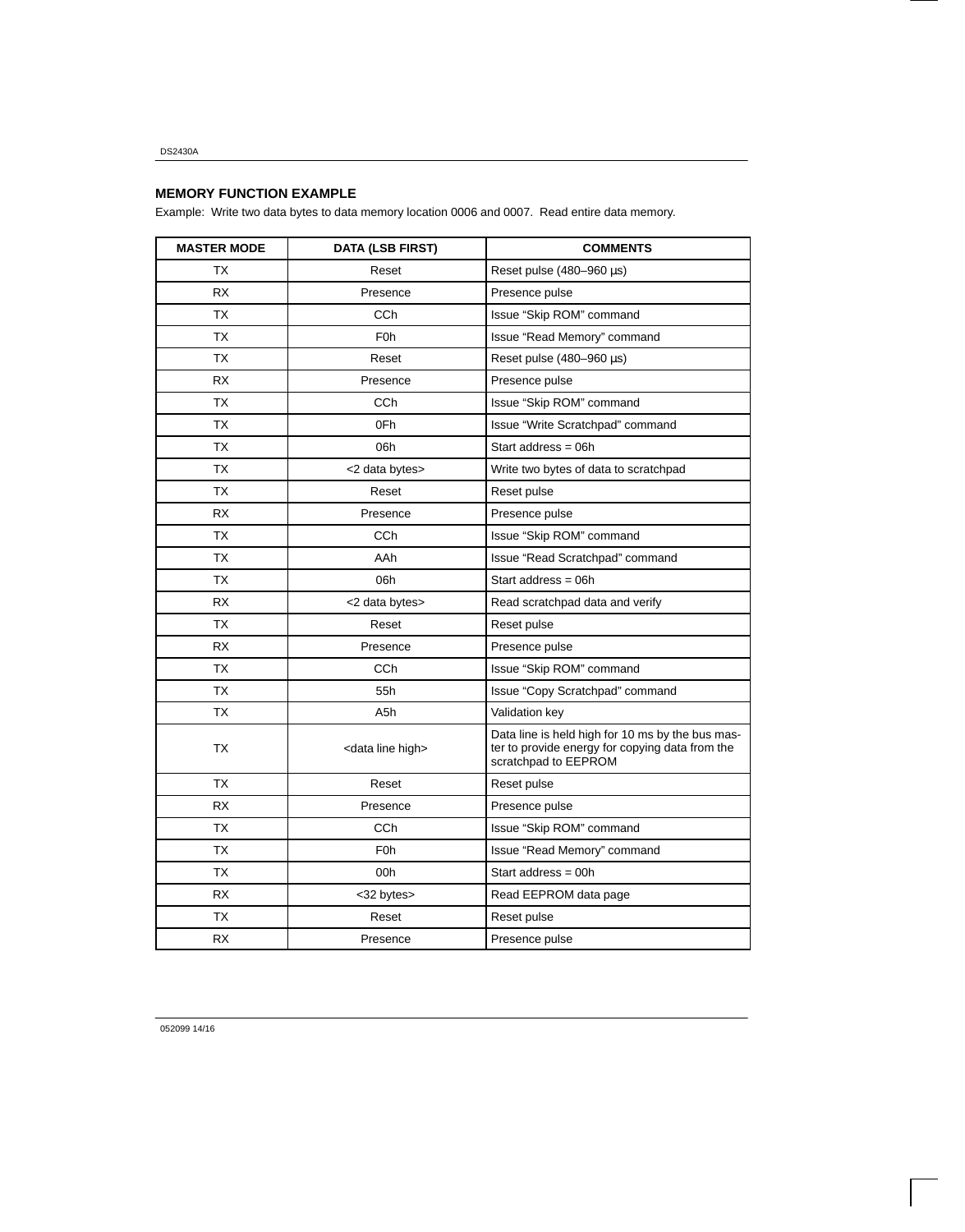## **MEMORY FUNCTION EXAMPLE**

Example: Write two data bytes to data memory location 0006 and 0007. Read entire data memory.

| <b>MASTER MODE</b> | <b>DATA (LSB FIRST)</b>       | <b>COMMENTS</b>                                                                                                             |  |  |
|--------------------|-------------------------------|-----------------------------------------------------------------------------------------------------------------------------|--|--|
| ТX                 | Reset                         | Reset pulse $(480-960 \,\mu s)$                                                                                             |  |  |
| <b>RX</b>          | Presence                      | Presence pulse                                                                                                              |  |  |
| <b>TX</b>          | CC <sub>h</sub>               | Issue "Skip ROM" command                                                                                                    |  |  |
| TX                 | F <sub>0</sub> h              | Issue "Read Memory" command                                                                                                 |  |  |
| <b>TX</b>          | Reset                         | Reset pulse $(480-960 \,\mu s)$                                                                                             |  |  |
| <b>RX</b>          | Presence                      | Presence pulse                                                                                                              |  |  |
| <b>TX</b>          | <b>CCh</b>                    | Issue "Skip ROM" command                                                                                                    |  |  |
| ТX                 | 0Fh                           | Issue "Write Scratchpad" command                                                                                            |  |  |
| ТX                 | 06h                           | Start address = $06h$                                                                                                       |  |  |
| <b>TX</b>          | <2 data bytes>                | Write two bytes of data to scratchpad                                                                                       |  |  |
| ТX                 | Reset                         | Reset pulse                                                                                                                 |  |  |
| <b>RX</b>          | Presence                      | Presence pulse                                                                                                              |  |  |
| <b>TX</b>          | <b>CCh</b>                    | Issue "Skip ROM" command                                                                                                    |  |  |
| <b>TX</b>          | AAh                           | Issue "Read Scratchpad" command                                                                                             |  |  |
| <b>TX</b>          | 06h                           | Start address = $06h$                                                                                                       |  |  |
| <b>RX</b>          | <2 data bytes>                | Read scratchpad data and verify                                                                                             |  |  |
| <b>TX</b>          | Reset                         | Reset pulse                                                                                                                 |  |  |
| RX                 | Presence                      | Presence pulse                                                                                                              |  |  |
| <b>TX</b>          | CC <sub>h</sub>               | Issue "Skip ROM" command                                                                                                    |  |  |
| <b>TX</b>          | 55h                           | Issue "Copy Scratchpad" command                                                                                             |  |  |
| <b>TX</b>          | A5h                           | Validation key                                                                                                              |  |  |
| <b>TX</b>          | <data high="" line=""></data> | Data line is held high for 10 ms by the bus mas-<br>ter to provide energy for copying data from the<br>scratchpad to EEPROM |  |  |
| <b>TX</b>          | Reset                         | Reset pulse                                                                                                                 |  |  |
| <b>RX</b>          | Presence                      | Presence pulse                                                                                                              |  |  |
| ТX                 | <b>CCh</b>                    | Issue "Skip ROM" command                                                                                                    |  |  |
| <b>TX</b>          | F <sub>0</sub> h              | Issue "Read Memory" command                                                                                                 |  |  |
| <b>TX</b>          | 00h                           | Start address = $00h$                                                                                                       |  |  |
| <b>RX</b>          | <32 bytes>                    | Read EEPROM data page                                                                                                       |  |  |
| <b>TX</b>          | Reset                         | Reset pulse                                                                                                                 |  |  |
| <b>RX</b>          | Presence                      | Presence pulse                                                                                                              |  |  |

052099 14/16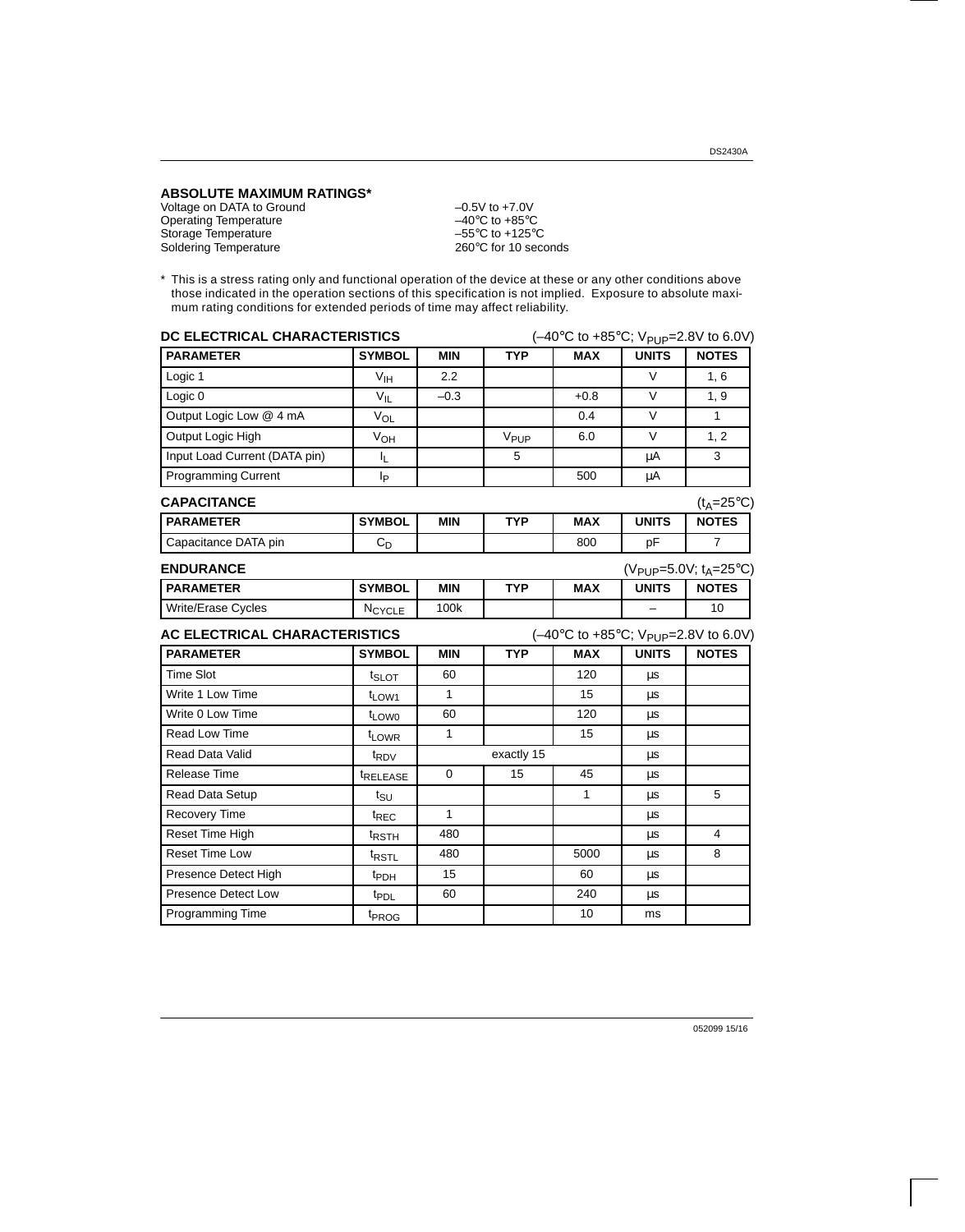**ABSOLUTE MAXIMUM RATINGS\***

Voltage on DATA to Ground  $-0.5V$  to +7.0V Operating Temperature<br>
Unique on DATA to Ground<br>
Operating Temperature<br>
Storage Temperature<br>  $-40^{\circ}$ C to +85°C<br>  $-55^{\circ}$ C to +125°C Storage Temperature –55°C to +125°C<br>Soldering Temperature –55°C to +125°C<br>260°C for 10 seconds Soldering Temperature

\* This is a stress rating only and functional operation of the device at these or any other conditions above those indicated in the operation sections of this specification is not implied. Exposure to absolute maximum rating conditions for extended periods of time may affect reliability.

| DC ELECTRICAL CHARACTERISTICS |                            |              |                  | $(-40^{\circ}$ C to +85°C; V <sub>PUP</sub> =2.8V to 6.0V) |                                                |                    |
|-------------------------------|----------------------------|--------------|------------------|------------------------------------------------------------|------------------------------------------------|--------------------|
| <b>PARAMETER</b>              | <b>SYMBOL</b>              | <b>MIN</b>   | <b>TYP</b>       | <b>MAX</b>                                                 | <b>UNITS</b>                                   | <b>NOTES</b>       |
| Logic 1                       | $\mathsf{V}_{\mathsf{IH}}$ | 2.2          |                  |                                                            | $\vee$                                         | 1, 6               |
| Logic <sub>0</sub>            | $V_{\parallel}$            | $-0.3$       |                  | $+0.8$                                                     | V                                              | 1, 9               |
| Output Logic Low @ 4 mA       | $V_{OL}$                   |              |                  | 0.4                                                        | $\vee$                                         | 1                  |
| Output Logic High             | $V_{OH}$                   |              | V <sub>PUP</sub> | 6.0                                                        | V                                              | 1, 2               |
| Input Load Current (DATA pin) | IL.                        |              | 5                |                                                            | μA                                             | 3                  |
| <b>Programming Current</b>    | Iр                         |              |                  | 500                                                        | μA                                             |                    |
| <b>CAPACITANCE</b>            |                            |              |                  |                                                            |                                                | $(t_A=25^\circ C)$ |
| <b>PARAMETER</b>              | <b>SYMBOL</b>              | <b>MIN</b>   | <b>TYP</b>       | <b>MAX</b>                                                 | <b>UNITS</b>                                   | <b>NOTES</b>       |
| Capacitance DATA pin          | $C_{D}$                    |              |                  | 800                                                        | pF                                             | $\overline{7}$     |
| <b>ENDURANCE</b>              |                            |              |                  |                                                            | (V <sub>PUP</sub> =5.0V; t <sub>A</sub> =25°C) |                    |
| <b>PARAMETER</b>              | <b>SYMBOL</b>              | <b>MIN</b>   | <b>TYP</b>       | <b>MAX</b>                                                 | <b>UNITS</b>                                   | <b>NOTES</b>       |
| Write/Erase Cycles            | NCYCLE                     | 100k         |                  |                                                            |                                                | 10                 |
| AC ELECTRICAL CHARACTERISTICS |                            |              |                  | $(-40^{\circ}$ C to +85°C; V <sub>PUP</sub> =2.8V to 6.0V) |                                                |                    |
| <b>PARAMETER</b>              | <b>SYMBOL</b>              | <b>MIN</b>   | <b>TYP</b>       | <b>MAX</b>                                                 | <b>UNITS</b>                                   | <b>NOTES</b>       |
| <b>Time Slot</b>              | t <sub>SLOT</sub>          | 60           |                  | 120                                                        | μs                                             |                    |
| Write 1 Low Time              | t <sub>LOW1</sub>          | 1            |                  | 15                                                         | μs                                             |                    |
| Write 0 Low Time              | t <sub>LOW0</sub>          | 60           |                  | 120                                                        | μs                                             |                    |
| Read Low Time                 | t <sub>LOWR</sub>          | $\mathbf{1}$ |                  | 15                                                         | μs                                             |                    |
| <b>Read Data Valid</b>        | t <sub>RDV</sub>           |              | exactly 15       |                                                            | μs                                             |                    |
| <b>Release Time</b>           | <i><b>TRELEASE</b></i>     | $\mathbf 0$  | 15               | 45                                                         | μs                                             |                    |
| Read Data Setup               | tsu                        |              |                  | $\mathbf{1}$                                               | μs                                             | 5                  |
| <b>Recovery Time</b>          | t <sub>REC</sub>           | $\mathbf{1}$ |                  |                                                            | μs                                             |                    |
| Reset Time High               | <sup>t</sup> RSTH          | 480          |                  |                                                            | μs                                             | 4                  |
| <b>Reset Time Low</b>         | <sup>t</sup> RSTL          | 480          |                  | 5000                                                       | μs                                             | 8                  |
| Presence Detect High          | t <sub>PDH</sub>           | 15           |                  | 60                                                         | μs                                             |                    |
| Presence Detect Low           | t <sub>PDL</sub>           | 60           |                  | 240                                                        | μs                                             |                    |
| <b>Programming Time</b>       | t <sub>PROG</sub>          |              |                  | 10                                                         | ms                                             |                    |